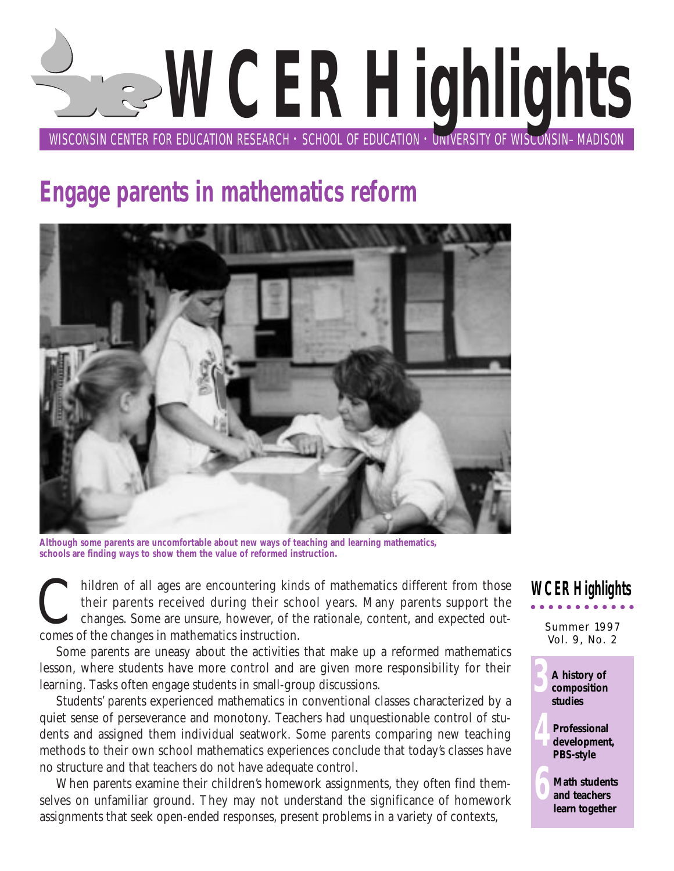# WISCONSIN CENTER FOR EDUCATION RESEARCH  $\cdot$  SCHOOL OF EDUCATION  $\cdot$  DNIVERSITY OF WISCONSIN–MADISON **WCER Highlights**

# **Engage parents in mathematics reform**



**Although some parents are uncomfortable about new ways of teaching and learning mathematics, schools are finding ways to show them the value of reformed instruction.**

hildren of all ages are encountering kinds of mathematics different from those their parents received during their school years. Many parents support the changes. Some are unsure, however, of the rationale, content, and ex their parents received during their school years. Many parents support the changes. Some are unsure, however, of the rationale, content, and expected outcomes of the changes in mathematics instruction.

Some parents are uneasy about the activities that make up a reformed mathematics lesson, where students have more control and are given more responsibility for their learning. Tasks often engage students in small-group discussions.

Students' parents experienced mathematics in conventional classes characterized by a quiet sense of perseverance and monotony. Teachers had unquestionable control of students and assigned them individual seatwork. Some parents comparing new teaching methods to their own school mathematics experiences conclude that today's classes have no structure and that teachers do not have adequate control.

When parents examine their children's homework assignments, they often find themselves on unfamiliar ground. They may not understand the significance of homework assignments that seek open-ended responses, present problems in a variety of contexts,

### **WCER Highlights**

Summer 1997 Vol. 9, No. 2



**4Professional development, PBS-style**

> **6Math students and teachers learn together**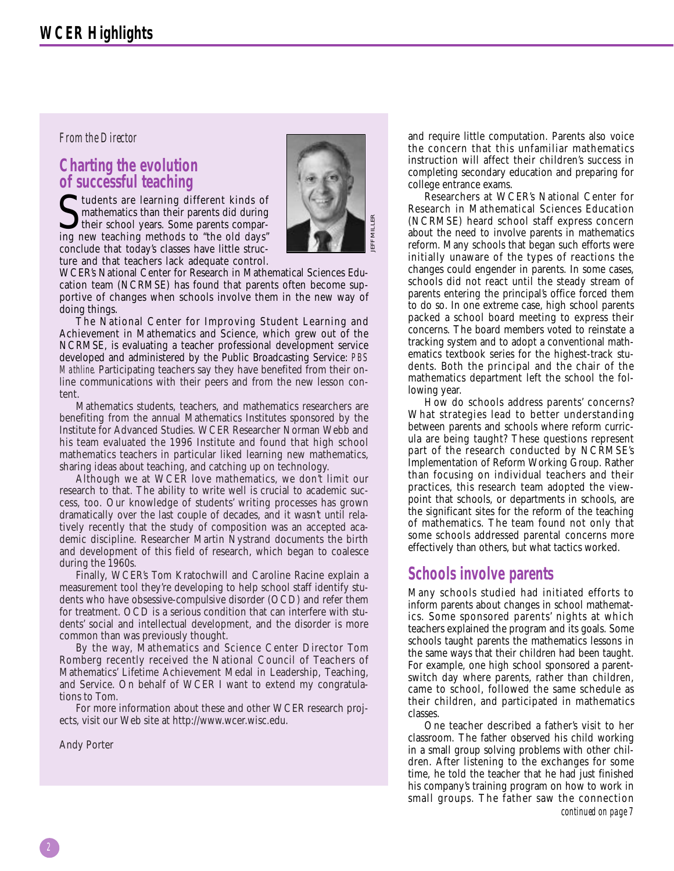#### *From the Director*

# **Charting the evolution of successful teaching**

**S** tudents are learning different kinds of<br>their school years. Some parents compar-<br>ing new teaching methods to "the old days" mathematics than their parents did during their school years. Some parents comparing new teaching methods to "the old days" conclude that today's classes have little structure and that teachers lack adequate control.



WCER's National Center for Research in Mathematical Sciences Education team (NCRMSE) has found that parents often become supportive of changes when schools involve them in the new way of doing things.

The National Center for Improving Student Learning and Achievement in Mathematics and Science, which grew out of the NCRMSE, is evaluating a teacher professional development service developed and administered by the Public Broadcasting Service: *PBS Mathline.* Participating teachers say they have benefited from their online communications with their peers and from the new lesson content.

Mathematics students, teachers, and mathematics researchers are benefiting from the annual Mathematics Institutes sponsored by the Institute for Advanced Studies. WCER Researcher Norman Webb and his team evaluated the 1996 Institute and found that high school mathematics teachers in particular liked learning new mathematics, sharing ideas about teaching, and catching up on technology.

Although we at WCER love mathematics, we don't limit our research to that. The ability to write well is crucial to academic success, too. Our knowledge of students' writing processes has grown dramatically over the last couple of decades, and it wasn't until relatively recently that the study of composition was an accepted academic discipline. Researcher Martin Nystrand documents the birth and development of this field of research, which began to coalesce during the 1960s.

Finally, WCER's Tom Kratochwill and Caroline Racine explain a measurement tool they're developing to help school staff identify students who have obsessive-compulsive disorder (OCD) and refer them for treatment. OCD is a serious condition that can interfere with students' social and intellectual development, and the disorder is more common than was previously thought.

By the way, Mathematics and Science Center Director Tom Romberg recently received the National Council of Teachers of Mathematics' Lifetime Achievement Medal in Leadership, Teaching, and Service. On behalf of WCER I want to extend my congratulations to Tom.

For more information about these and other WCER research projects, visit our Web site at http://www.wcer.wisc.edu.

Andy Porter

and require little computation. Parents also voice the concern that this unfamiliar mathematics instruction will affect their children's success in completing secondary education and preparing for college entrance exams.

Researchers at WCER's National Center for Research in Mathematical Sciences Education (NCRMSE) heard school staff express concern about the need to involve parents in mathematics reform. Many schools that began such efforts were initially unaware of the types of reactions the changes could engender in parents. In some cases, schools did not react until the steady stream of parents entering the principal's office forced them to do so. In one extreme case, high school parents packed a school board meeting to express their concerns. The board members voted to reinstate a tracking system and to adopt a conventional mathematics textbook series for the highest-track students. Both the principal and the chair of the mathematics department left the school the following year.

How do schools address parents' concerns? What strategies lead to better understanding between parents and schools where reform curricula are being taught? These questions represent part of the research conducted by NCRMSE's Implementation of Reform Working Group. Rather than focusing on individual teachers and their practices, this research team adopted the viewpoint that schools, or departments in schools, are the significant sites for the reform of the teaching of mathematics. The team found not only that some schools addressed parental concerns more effectively than others, but what tactics worked.

#### **Schools involve parents**

Many schools studied had initiated efforts to inform parents about changes in school mathematics. Some sponsored parents' nights at which teachers explained the program and its goals. Some schools taught parents the mathematics lessons in the same ways that their children had been taught. For example, one high school sponsored a parentswitch day where parents, rather than children, came to school, followed the same schedule as their children, and participated in mathematics classes.

One teacher described a father's visit to her classroom. The father observed his child working in a small group solving problems with other children. After listening to the exchanges for some time, he told the teacher that he had just finished his company's training program on how to work in small groups. The father saw the connection *continued on page 7*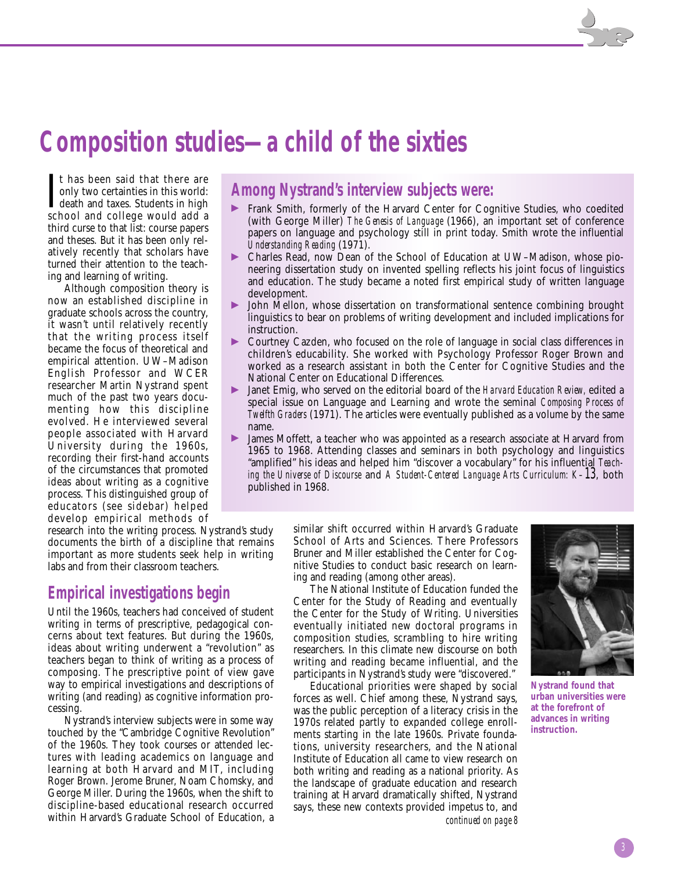# **Composition studies—a child of the sixties**

It has been said that there are<br>
only two certainties in this world:<br>
death and taxes. Students in high<br>
school and college would add a only two certainties in this world: death and taxes. Students in high school and college would add a third curse to that list: course papers and theses. But it has been only relatively recently that scholars have turned their attention to the teaching and learning of writing.

Although composition theory is now an established discipline in graduate schools across the country, it wasn't until relatively recently that the writing process itself became the focus of theoretical and empirical attention. UW–Madison English Professor and WCER researcher Martin Nystrand spent much of the past two years documenting how this discipline evolved. He interviewed several people associated with Harvard University during the 1960s, recording their first-hand accounts of the circumstances that promoted ideas about writing as a cognitive process. This distinguished group of educators (see sidebar) helped develop empirical methods of

research into the writing process. Nystrand's study documents the birth of a discipline that remains important as more students seek help in writing labs and from their classroom teachers.

#### **Empirical investigations begin**

Until the 1960s, teachers had conceived of student writing in terms of prescriptive, pedagogical concerns about text features. But during the 1960s, ideas about writing underwent a "revolution" as teachers began to think of writing as a process of composing. The prescriptive point of view gave way to empirical investigations and descriptions of writing (and reading) as cognitive information processing.

Nystrand's interview subjects were in some way touched by the "Cambridge Cognitive Revolution" of the 1960s. They took courses or attended lectures with leading academics on language and learning at both Harvard and MIT, including Roger Brown. Jerome Bruner, Noam Chomsky, and George Miller. During the 1960s, when the shift to discipline-based educational research occurred within Harvard's Graduate School of Education, a

#### **Among Nystrand's interview subjects were:**

- © Frank Smith, formerly of the Harvard Center for Cognitive Studies, who coedited (with George Miller) *The Genesis of Language* (1966), an important set of conference papers on language and psychology still in print today. Smith wrote the influential *Understanding Reading* (1971).
- © Charles Read, now Dean of the School of Education at UW–Madison, whose pioneering dissertation study on invented spelling reflects his joint focus of linguistics and education. The study became a noted first empirical study of written language development.
- © John Mellon, whose dissertation on transformational sentence combining brought linguistics to bear on problems of writing development and included implications for instruction.
- © Courtney Cazden, who focused on the role of language in social class differences in children's educability. She worked with Psychology Professor Roger Brown and worked as a research assistant in both the Center for Cognitive Studies and the National Center on Educational Differences.
- © Janet Emig, who served on the editorial board of the *Harvard Education Review,* edited a special issue on Language and Learning and wrote the seminal *Composing Process of Twelfth Graders* (1971). The articles were eventually published as a volume by the same name.
- James Moffett, a teacher who was appointed as a research associate at Harvard from 1965 to 1968. Attending classes and seminars in both psychology and linguistics "amplified" his ideas and helped him "discover a vocabulary" for his influential *Teaching the Universe of Discourse* and *A Student-Centered Language Arts Curriculum: K–13*, both published in 1968.

similar shift occurred within Harvard's Graduate School of Arts and Sciences. There Professors Bruner and Miller established the Center for Cognitive Studies to conduct basic research on learning and reading (among other areas).

The National Institute of Education funded the Center for the Study of Reading and eventually the Center for the Study of Writing. Universities eventually initiated new doctoral programs in composition studies, scrambling to hire writing researchers. In this climate new discourse on both writing and reading became influential, and the participants in Nystrand's study were "discovered."

Educational priorities were shaped by social forces as well. Chief among these, Nystrand says, was the public perception of a literacy crisis in the 1970s related partly to expanded college enrollments starting in the late 1960s. Private foundations, university researchers, and the National Institute of Education all came to view research on both writing and reading as a national priority. As the landscape of graduate education and research training at Harvard dramatically shifted, Nystrand says, these new contexts provided impetus to, and *continued on page 8*



**Nystrand found that urban universities were at the forefront of advances in writing instruction.**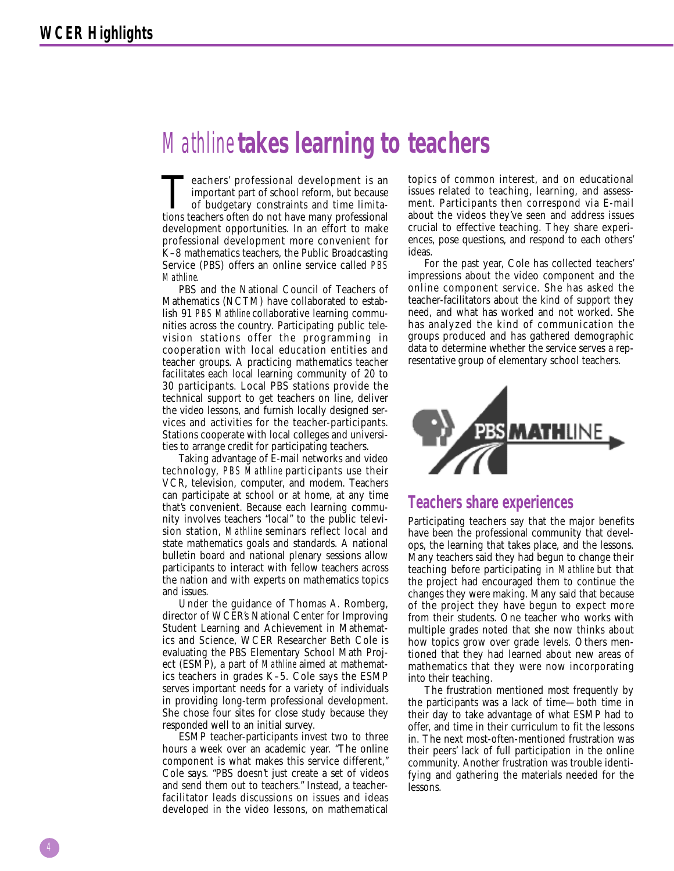## *Mathline* **takes learning to teachers**

Teachers' professional development is an important part of school reform, but because of budgetary constraints and time limitations teachers often do not have many professional development opportunities. In an effort to make professional development more convenient for K–8 mathematics teachers, the Public Broadcasting Service (PBS) offers an online service called *PBS Mathline.* 

PBS and the National Council of Teachers of Mathematics (NCTM) have collaborated to establish 91 *PBS Mathline* collaborative learning communities across the country. Participating public television stations offer the programming in cooperation with local education entities and teacher groups. A practicing mathematics teacher facilitates each local learning community of 20 to 30 participants. Local PBS stations provide the technical support to get teachers on line, deliver the video lessons, and furnish locally designed services and activities for the teacher-participants. Stations cooperate with local colleges and universities to arrange credit for participating teachers.

Taking advantage of E-mail networks and video technology, *PBS Mathline* participants use their VCR, television, computer, and modem. Teachers can participate at school or at home, at any time that's convenient. Because each learning community involves teachers "local" to the public television station, *Mathline* seminars reflect local and state mathematics goals and standards. A national bulletin board and national plenary sessions allow participants to interact with fellow teachers across the nation and with experts on mathematics topics and issues.

Under the guidance of Thomas A. Romberg, director of WCER's National Center for Improving Student Learning and Achievement in Mathematics and Science, WCER Researcher Beth Cole is evaluating the PBS Elementary School Math Project (ESMP), a part of *Mathline* aimed at mathematics teachers in grades K–5. Cole says the ESMP serves important needs for a variety of individuals in providing long-term professional development. She chose four sites for close study because they responded well to an initial survey.

ESMP teacher-participants invest two to three hours a week over an academic year. "The online component is what makes this service different," Cole says. "PBS doesn't just create a set of videos and send them out to teachers." Instead, a teacherfacilitator leads discussions on issues and ideas developed in the video lessons, on mathematical

topics of common interest, and on educational issues related to teaching, learning, and assessment. Participants then correspond via E-mail about the videos they've seen and address issues crucial to effective teaching. They share experiences, pose questions, and respond to each others' ideas.

For the past year, Cole has collected teachers' impressions about the video component and the online component service. She has asked the teacher-facilitators about the kind of support they need, and what has worked and not worked. She has analyzed the kind of communication the groups produced and has gathered demographic data to determine whether the service serves a representative group of elementary school teachers.



#### **Teachers share experiences**

Participating teachers say that the major benefits have been the professional community that develops, the learning that takes place, and the lessons. Many teachers said they had begun to change their teaching before participating in *Mathline* but that the project had encouraged them to continue the changes they were making. Many said that because of the project they have begun to expect more from their students. One teacher who works with multiple grades noted that she now thinks about how topics grow over grade levels. Others mentioned that they had learned about new areas of mathematics that they were now incorporating into their teaching.

The frustration mentioned most frequently by the participants was a lack of time—both time in their day to take advantage of what ESMP had to offer, and time in their curriculum to fit the lessons in. The next most-often-mentioned frustration was their peers' lack of full participation in the online community. Another frustration was trouble identifying and gathering the materials needed for the lessons.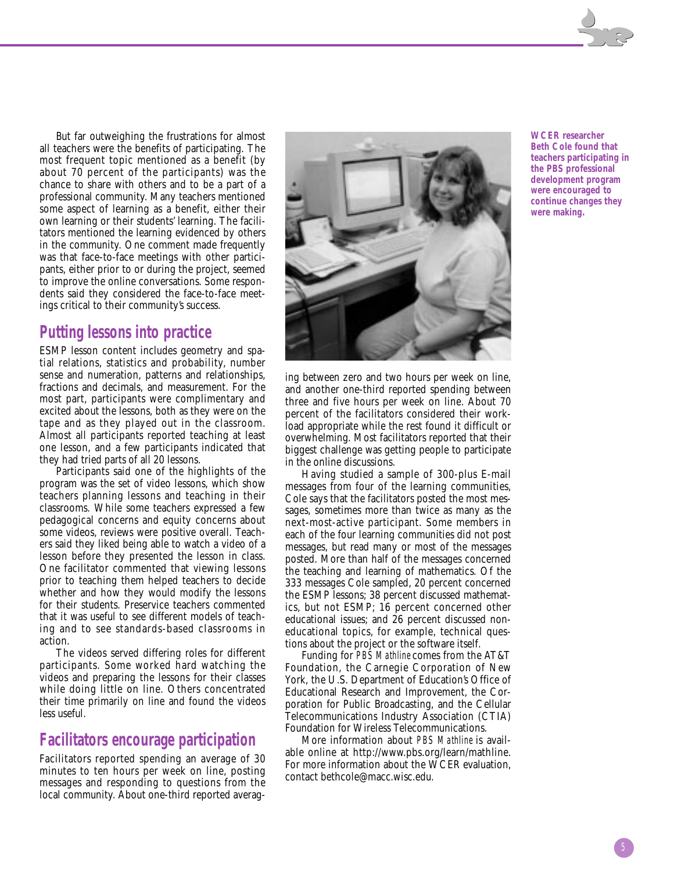But far outweighing the frustrations for almost all teachers were the benefits of participating. The most frequent topic mentioned as a benefit (by about 70 percent of the participants) was the chance to share with others and to be a part of a professional community. Many teachers mentioned some aspect of learning as a benefit, either their own learning or their students' learning. The facilitators mentioned the learning evidenced by others in the community. One comment made frequently was that face-to-face meetings with other participants, either prior to or during the project, seemed to improve the online conversations. Some respondents said they considered the face-to-face meetings critical to their community's success.

#### **Putting lessons into practice**

ESMP lesson content includes geometry and spatial relations, statistics and probability, number sense and numeration, patterns and relationships, fractions and decimals, and measurement. For the most part, participants were complimentary and excited about the lessons, both as they were on the tape and as they played out in the classroom. Almost all participants reported teaching at least one lesson, and a few participants indicated that they had tried parts of all 20 lessons.

Participants said one of the highlights of the program was the set of video lessons, which show teachers planning lessons and teaching in their classrooms. While some teachers expressed a few pedagogical concerns and equity concerns about some videos, reviews were positive overall. Teachers said they liked being able to watch a video of a lesson before they presented the lesson in class. One facilitator commented that viewing lessons prior to teaching them helped teachers to decide whether and how they would modify the lessons for their students. Preservice teachers commented that it was useful to see different models of teaching and to see standards-based classrooms in action.

The videos served differing roles for different participants. Some worked hard watching the videos and preparing the lessons for their classes while doing little on line. Others concentrated their time primarily on line and found the videos less useful.

#### **Facilitators encourage participation**

Facilitators reported spending an average of 30 minutes to ten hours per week on line, posting messages and responding to questions from the local community. About one-third reported averaging between zero and two hours per week on line, and another one-third reported spending between three and five hours per week on line. About 70 percent of the facilitators considered their workload appropriate while the rest found it difficult or overwhelming. Most facilitators reported that their biggest challenge was getting people to participate in the online discussions.

Having studied a sample of 300-plus E-mail messages from four of the learning communities, Cole says that the facilitators posted the most messages, sometimes more than twice as many as the next-most-active participant. Some members in each of the four learning communities did not post messages, but read many or most of the messages posted. More than half of the messages concerned the teaching and learning of mathematics. Of the 333 messages Cole sampled, 20 percent concerned the ESMP lessons; 38 percent discussed mathematics, but not ESMP; 16 percent concerned other educational issues; and 26 percent discussed noneducational topics, for example, technical questions about the project or the software itself.

Funding for *PBS Mathline* comes from the AT&T Foundation, the Carnegie Corporation of New York, the U.S. Department of Education's Office of Educational Research and Improvement, the Corporation for Public Broadcasting, and the Cellular Telecommunications Industry Association (CTIA) Foundation for Wireless Telecommunications.

More information about *PBS Mathline* is available online at http://www.pbs.org/learn/mathline. For more information about the WCER evaluation, contact bethcole@macc.wisc.edu.

**WCER researcher Beth Cole found that teachers participating in the PBS professional development program were encouraged to continue changes they were making.**

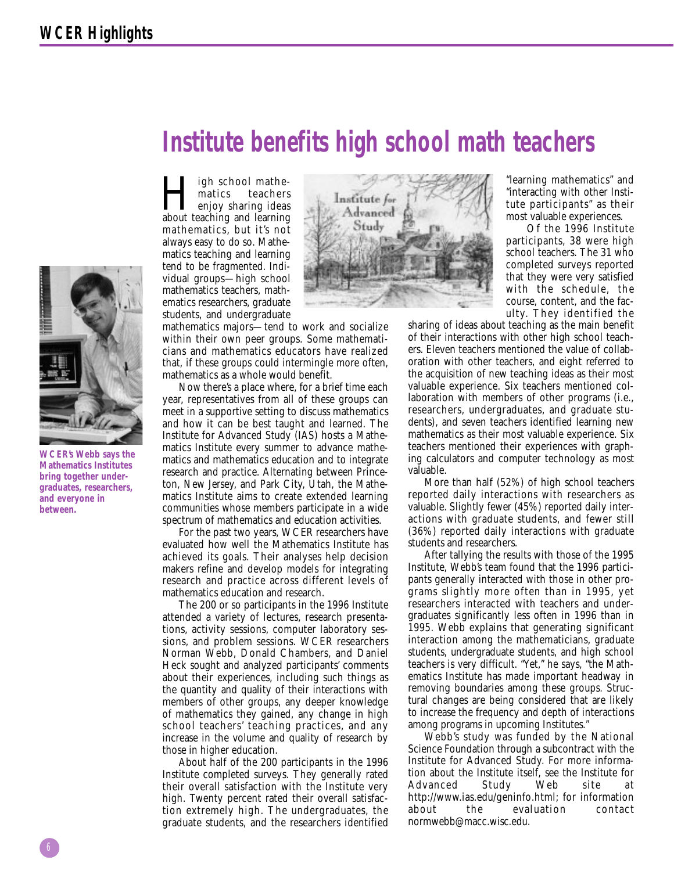

**WCER's Webb says the Mathematics Institutes bring together undergraduates, researchers, and everyone in between.**

# **Institute benefits high school math teachers**

I ligh school mathe-<br>matics teachers<br>about teaching and learning matics teachers about teaching and learning mathematics, but it's not always easy to do so. Mathematics teaching and learning tend to be fragmented. Individual groups—high school mathematics teachers, mathematics researchers, graduate students, and undergraduate

mathematics majors—tend to work and socialize within their own peer groups. Some mathematicians and mathematics educators have realized that, if these groups could intermingle more often, mathematics as a whole would benefit.

Now there's a place where, for a brief time each year, representatives from all of these groups can meet in a supportive setting to discuss mathematics and how it can be best taught and learned. The Institute for Advanced Study (IAS) hosts a Mathematics Institute every summer to advance mathematics and mathematics education and to integrate research and practice. Alternating between Princeton, New Jersey, and Park City, Utah, the Mathematics Institute aims to create extended learning communities whose members participate in a wide spectrum of mathematics and education activities.

For the past two years, WCER researchers have evaluated how well the Mathematics Institute has achieved its goals. Their analyses help decision makers refine and develop models for integrating research and practice across different levels of mathematics education and research.

The 200 or so participants in the 1996 Institute attended a variety of lectures, research presentations, activity sessions, computer laboratory sessions, and problem sessions. WCER researchers Norman Webb, Donald Chambers, and Daniel Heck sought and analyzed participants' comments about their experiences, including such things as the quantity and quality of their interactions with members of other groups, any deeper knowledge of mathematics they gained, any change in high school teachers' teaching practices, and any increase in the volume and quality of research by those in higher education.

About half of the 200 participants in the 1996 Institute completed surveys. They generally rated their overall satisfaction with the Institute very high. Twenty percent rated their overall satisfaction extremely high. The undergraduates, the graduate students, and the researchers identified



"learning mathematics" and "interacting with other Institute participants" as their most valuable experiences.

Of the 1996 Institute participants, 38 were high school teachers. The 31 who completed surveys reported that they were very satisfied with the schedule, the course, content, and the faculty. They identified the

sharing of ideas about teaching as the main benefit of their interactions with other high school teachers. Eleven teachers mentioned the value of collaboration with other teachers, and eight referred to the acquisition of new teaching ideas as their most valuable experience. Six teachers mentioned collaboration with members of other programs (i.e., researchers, undergraduates, and graduate students), and seven teachers identified learning new mathematics as their most valuable experience. Six teachers mentioned their experiences with graphing calculators and computer technology as most valuable.

More than half (52%) of high school teachers reported daily interactions with researchers as valuable. Slightly fewer (45%) reported daily interactions with graduate students, and fewer still (36%) reported daily interactions with graduate students and researchers.

After tallying the results with those of the 1995 Institute, Webb's team found that the 1996 participants generally interacted with those in other programs slightly more often than in 1995, yet researchers interacted with teachers and undergraduates significantly less often in 1996 than in 1995. Webb explains that generating significant interaction among the mathematicians, graduate students, undergraduate students, and high school teachers is very difficult. "Yet," he says, "the Mathematics Institute has made important headway in removing boundaries among these groups. Structural changes are being considered that are likely to increase the frequency and depth of interactions among programs in upcoming Institutes."

Webb's study was funded by the National Science Foundation through a subcontract with the Institute for Advanced Study. For more information about the Institute itself, see the Institute for Advanced Study Web site at http://www.ias.edu/geninfo.html; for information about the evaluation contact normwebb@macc.wisc.edu.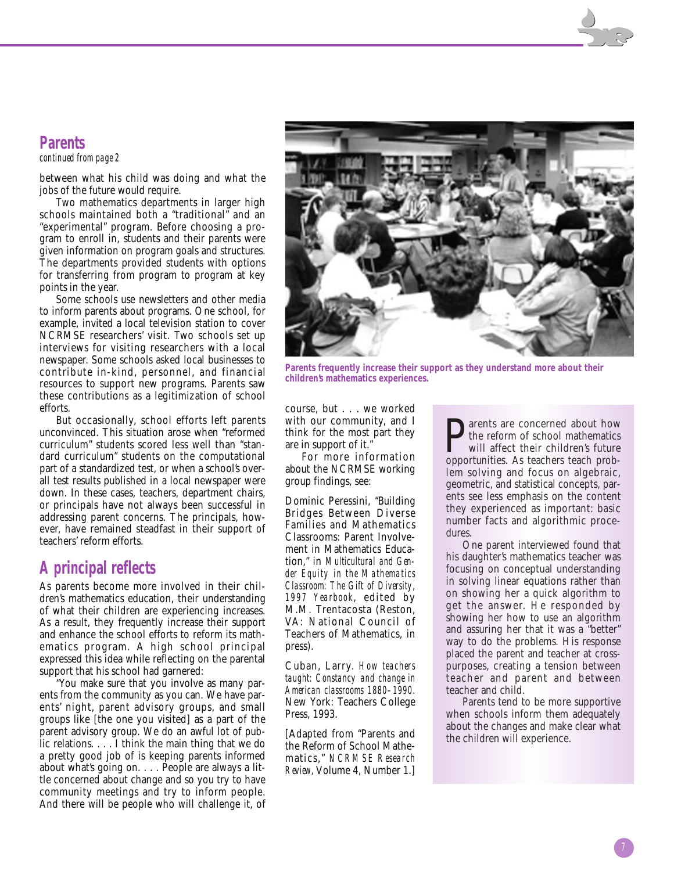#### **Parents**

*continued from page 2*

between what his child was doing and what the jobs of the future would require.

Two mathematics departments in larger high schools maintained both a "traditional" and an "experimental" program. Before choosing a program to enroll in, students and their parents were given information on program goals and structures. The departments provided students with options for transferring from program to program at key points in the year.

Some schools use newsletters and other media to inform parents about programs. One school, for example, invited a local television station to cover NCRMSE researchers' visit. Two schools set up interviews for visiting researchers with a local newspaper. Some schools asked local businesses to contribute in-kind, personnel, and financial resources to support new programs. Parents saw these contributions as a legitimization of school efforts.

But occasionally, school efforts left parents unconvinced. This situation arose when "reformed curriculum" students scored less well than "standard curriculum" students on the computational part of a standardized test, or when a school's overall test results published in a local newspaper were down. In these cases, teachers, department chairs, or principals have not always been successful in addressing parent concerns. The principals, however, have remained steadfast in their support of teachers' reform efforts.

#### **A principal reflects**

As parents become more involved in their children's mathematics education, their understanding of what their children are experiencing increases. As a result, they frequently increase their support and enhance the school efforts to reform its mathematics program. A high school principal expressed this idea while reflecting on the parental support that his school had garnered:

"You make sure that you involve as many parents from the community as you can. We have parents' night, parent advisory groups, and small groups like [the one you visited] as a part of the parent advisory group. We do an awful lot of public relations. . . . I think the main thing that we do a pretty good job of is keeping parents informed about what's going on. . . . People are always a little concerned about change and so you try to have community meetings and try to inform people. And there will be people who will challenge it, of



**Parents frequently increase their support as they understand more about their children's mathematics experiences.**

course, but . . . we worked with our community, and I think for the most part they are in support of it."

For more information about the NCRMSE working group findings, see:

Dominic Peressini, "Building Bridges Between Diverse Families and Mathematics Classrooms: Parent Involvement in Mathematics Education," in *Multicultural and Gender Equity in the Mathematics Classroom: The Gift of Diversity, 1997 Yearbook*, edited by M.M. Trentacosta (Reston, VA: National Council of Teachers of Mathematics, in press).

Cuban, Larry. *How teachers taught: Constancy and change in American classrooms 1880–1990.* New York: Teachers College Press, 1993.

[Adapted from "Parents and the Reform of School Mathematics," *NCRMSE Research Review,* Volume 4, Number 1.]

arents are concerned about how the reform of school mathematics will affect their children's future opportunities. As teachers teach problem solving and focus on algebraic, geometric, and statistical concepts, parents see less emphasis on the content they experienced as important: basic number facts and algorithmic procedures.

One parent interviewed found that his daughter's mathematics teacher was focusing on conceptual understanding in solving linear equations rather than on showing her a quick algorithm to get the answer. He responded by showing her how to use an algorithm and assuring her that it was a "better" way to do the problems. His response placed the parent and teacher at crosspurposes, creating a tension between teacher and parent and between teacher and child.

Parents tend to be more supportive when schools inform them adequately about the changes and make clear what the children will experience.